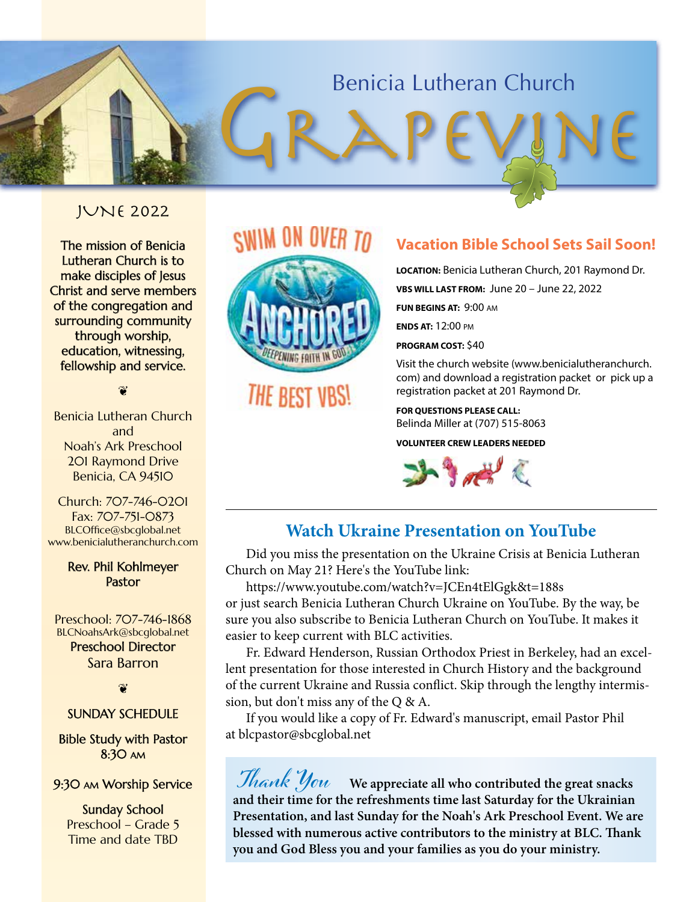## Benicia Lutheran Church Benicia Lutheran Church

## JUNE 2022

The mission of Benicia Lutheran Church is to make disciples of Jesus Christ and serve members of the congregation and surrounding community through worship, education, witnessing, fellowship and service.

❦

Benicia Lutheran Church and Noah's Ark Preschool 201 Raymond Drive Benicia, CA 94510

Church: 707-746-0201 Fax: 707-751-0873 BLCOffice@sbcglobal.net www.benicialutheranchurch.com

#### Rev. Phil Kohlmeyer Pastor

Preschool: 707-746-1868 BLCNoahsArk@sbcglobal.net Preschool Director Sara Barron

❦

#### SUNDAY SCHEDULE

Bible Study with Pastor 8:30 am

#### 9:30 am Worship Service

Sunday School Preschool – Grade 5 Time and date TBD

## SWIM ON OVER TO



THE BEST VBS!

## **Vacation Bible School Sets Sail Soon!**

**LOCATION**: Benicia Lutheran Church, 201 Raymond Dr. **FUN BEGINS AT: 9:00 AM FUN BEGINS AT**: 9:00 am **ENDS AT:** 12:00 pm **LOCATION:** Benicia Lutheran Church, 201 Raymond Dr. **VBS WILL LAST FROM:** June 20 – June 22, 2022

**ENDS AT**: 12:00 pm **PROGRAM COST:** \$40

Visit the church website (www.benicialutheranchurch. com) and download a registration packet or pick up a registration packet at 201 Raymond Dr.

> **POR QUESTIONS FEERSE CREE:**<br>Belinda Miller at (707) 515-8063 **FOR QUESTIONS PLEASE CALL:**

**VOLUNTEER CREW LEADERS NEEDED** 



## **Watch Ukraine Presentation on YouTube**

Did you miss the presentation on the Ukraine Crisis at Benicia Lutheran Church on May 21? Here's the YouTube link:

https://www.youtube.com/watch?v=JCEn4tElGgk&t=188s or just search Benicia Lutheran Church Ukraine on YouTube. By the way, be sure you also subscribe to Benicia Lutheran Church on YouTube. It makes it easier to keep current with BLC activities.

Fr. Edward Henderson, Russian Orthodox Priest in Berkeley, had an excellent presentation for those interested in Church History and the background of the current Ukraine and Russia conflict. Skip through the lengthy intermission, but don't miss any of the Q & A.

If you would like a copy of Fr. Edward's manuscript, email Pastor Phil at blcpastor@sbcglobal.net

 **Thank You We appreciate all who contributed the great snacks and their time for the refreshments time last Saturday for the Ukrainian Presentation, and last Sunday for the Noah's Ark Preschool Event. We are blessed with numerous active contributors to the ministry at BLC. Thank you and God Bless you and your families as you do your ministry.**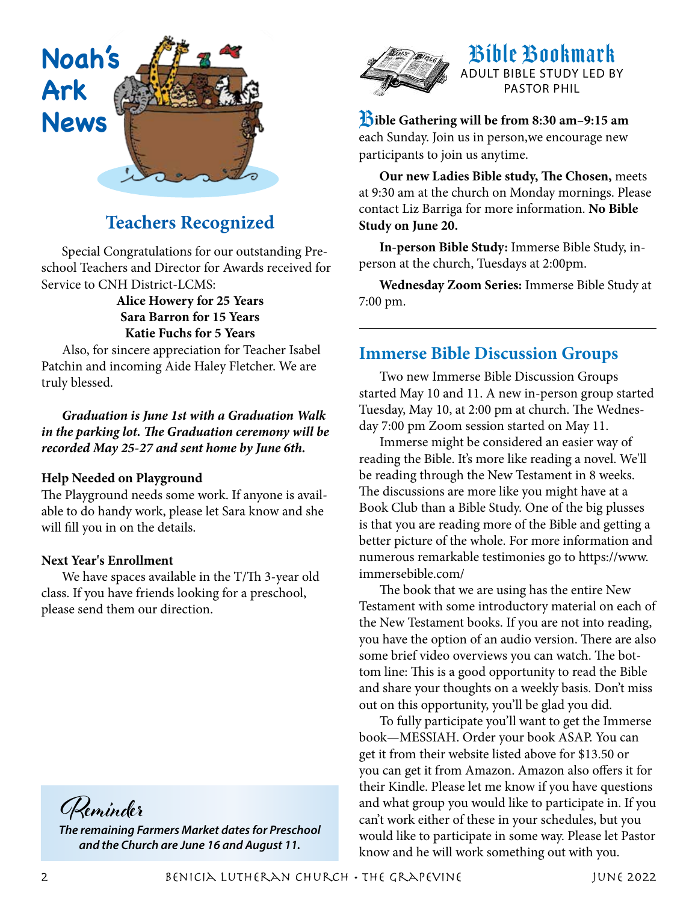

## **Teachers Recognized**

Special Congratulations for our outstanding Preschool Teachers and Director for Awards received for Service to CNH District-LCMS:

> **Alice Howery for 25 Years Sara Barron for 15 Years Katie Fuchs for 5 Years**

Also, for sincere appreciation for Teacher Isabel Patchin and incoming Aide Haley Fletcher. We are truly blessed.

## *Graduation is June 1st with a Graduation Walk in the parking lot. The Graduation ceremony will be recorded May 25-27 and sent home by June 6th.*

#### **Help Needed on Playground**

The Playground needs some work. If anyone is available to do handy work, please let Sara know and she will fill you in on the details.

#### **Next Year's Enrollment**

We have spaces available in the T/Th 3-year old class. If you have friends looking for a preschool, please send them our direction.



*The remaining Farmers Market dates for Preschool and the Church are June 16 and August 11.*



## Bible Bookmark ADULT BIBLE STUDY LED BY PASTOR PHIL

B**ible Gathering will be from 8:30 am–9:15 am** each Sunday. Join us in person,we encourage new participants to join us anytime.

**Our new Ladies Bible study, The Chosen,** meets at 9:30 am at the church on Monday mornings. Please contact Liz Barriga for more information. **No Bible Study on June 20.**

**In-person Bible Study:** Immerse Bible Study, inperson at the church, Tuesdays at 2:00pm.

**Wednesday Zoom Series:** Immerse Bible Study at 7:00 pm.

## **Immerse Bible Discussion Groups**

Two new Immerse Bible Discussion Groups started May 10 and 11. A new in-person group started Tuesday, May 10, at 2:00 pm at church. The Wednesday 7:00 pm Zoom session started on May 11.

Immerse might be considered an easier way of reading the Bible. It's more like reading a novel. We'll be reading through the New Testament in 8 weeks. The discussions are more like you might have at a Book Club than a Bible Study. One of the big plusses is that you are reading more of the Bible and getting a better picture of the whole. For more information and numerous remarkable testimonies go to https://www. immersebible.com/

The book that we are using has the entire New Testament with some introductory material on each of the New Testament books. If you are not into reading, you have the option of an audio version. There are also some brief video overviews you can watch. The bottom line: This is a good opportunity to read the Bible and share your thoughts on a weekly basis. Don't miss out on this opportunity, you'll be glad you did.

To fully participate you'll want to get the Immerse book—MESSIAH. Order your book ASAP. You can get it from their website listed above for \$13.50 or you can get it from Amazon. Amazon also offers it for their Kindle. Please let me know if you have questions and what group you would like to participate in. If you can't work either of these in your schedules, but you would like to participate in some way. Please let Pastor know and he will work something out with you.

2 Benicia Lutheran Church • The Grapevine June 2022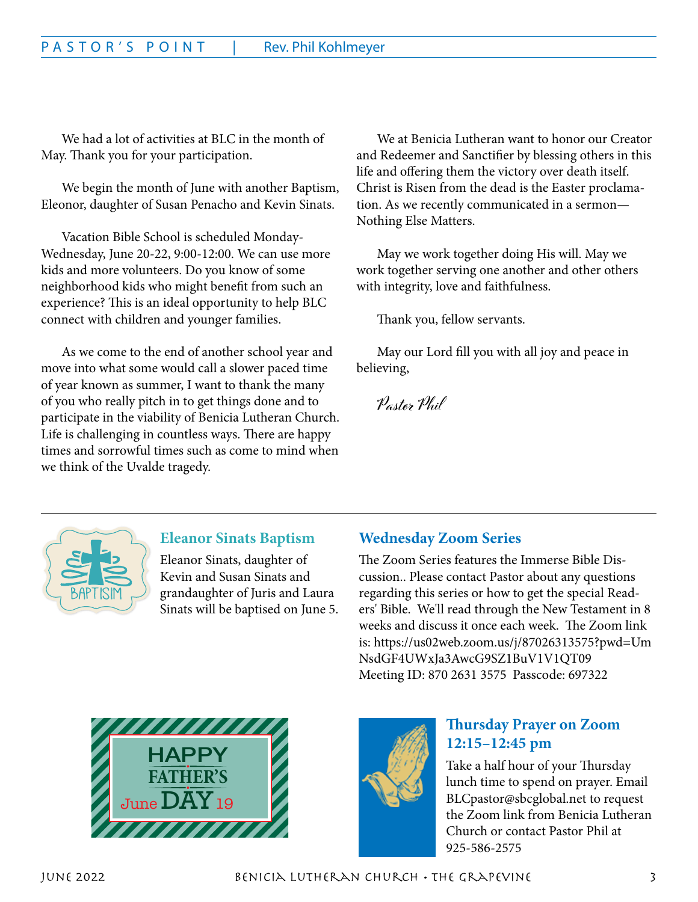We had a lot of activities at BLC in the month of May. Thank you for your participation.

We begin the month of June with another Baptism, Eleonor, daughter of Susan Penacho and Kevin Sinats.

Vacation Bible School is scheduled Monday-Wednesday, June 20-22, 9:00-12:00. We can use more kids and more volunteers. Do you know of some neighborhood kids who might benefit from such an experience? This is an ideal opportunity to help BLC connect with children and younger families.

As we come to the end of another school year and move into what some would call a slower paced time of year known as summer, I want to thank the many of you who really pitch in to get things done and to participate in the viability of Benicia Lutheran Church. Life is challenging in countless ways. There are happy times and sorrowful times such as come to mind when we think of the Uvalde tragedy.

We at Benicia Lutheran want to honor our Creator and Redeemer and Sanctifier by blessing others in this life and offering them the victory over death itself. Christ is Risen from the dead is the Easter proclamation. As we recently communicated in a sermon— Nothing Else Matters.

May we work together doing His will. May we work together serving one another and other others with integrity, love and faithfulness.

Thank you, fellow servants.

May our Lord fill you with all joy and peace in believing,

**Pastor Phil**



## **Eleanor Sinats Baptism**

Eleanor Sinats, daughter of Kevin and Susan Sinats and grandaughter of Juris and Laura Sinats will be baptised on June 5.

## **Wednesday Zoom Series**

The Zoom Series features the Immerse Bible Discussion.. Please contact Pastor about any questions regarding this series or how to get the special Readers' Bible. We'll read through the New Testament in 8 weeks and discuss it once each week. The Zoom link is: https://us02web.zoom.us/j/87026313575?pwd=Um NsdGF4UWxJa3AwcG9SZ1BuV1V1QT09 Meeting ID: 870 2631 3575 Passcode: 697322





## **Thursday Prayer on Zoom 12:15–12:45 pm**

Take a half hour of your Thursday lunch time to spend on prayer. Email BLCpastor@sbcglobal.net to request the Zoom link from Benicia Lutheran Church or contact Pastor Phil at 925-586-2575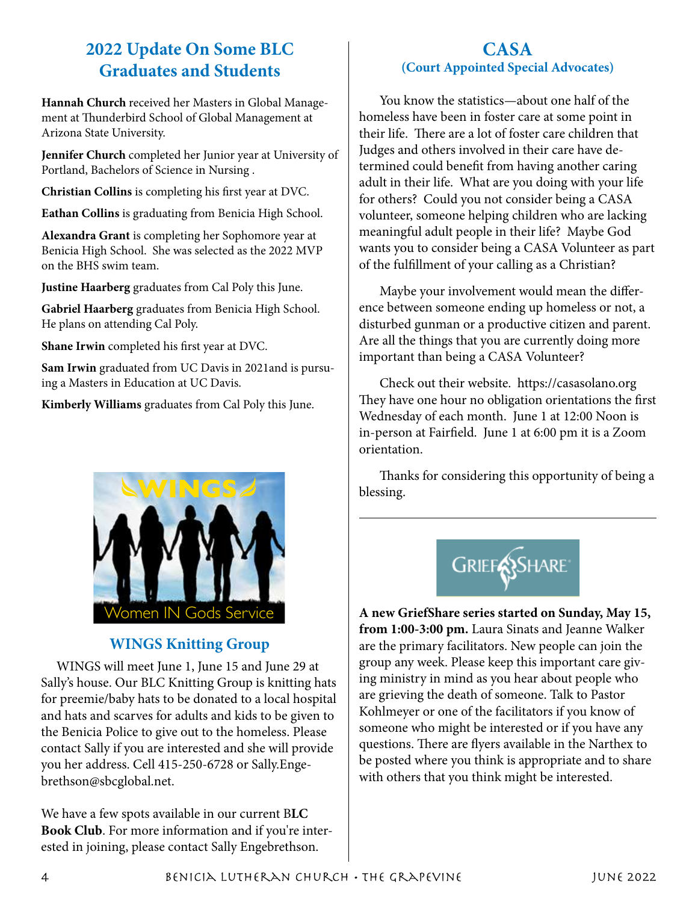## **2022 Update On Some BLC Graduates and Students**

**Hannah Church** received her Masters in Global Management at Thunderbird School of Global Management at Arizona State University.

**Jennifer Church** completed her Junior year at University of Portland, Bachelors of Science in Nursing .

**Christian Collins** is completing his first year at DVC.

**Eathan Collins** is graduating from Benicia High School.

**Alexandra Grant** is completing her Sophomore year at Benicia High School. She was selected as the 2022 MVP on the BHS swim team.

**Justine Haarberg** graduates from Cal Poly this June.

**Gabriel Haarberg** graduates from Benicia High School. He plans on attending Cal Poly.

**Shane Irwin** completed his first year at DVC.

**Sam Irwin** graduated from UC Davis in 2021and is pursuing a Masters in Education at UC Davis.

**Kimberly Williams** graduates from Cal Poly this June.



## **WINGS Knitting Group**

WINGS will meet June 1, June 15 and June 29 at Sally's house. Our BLC Knitting Group is knitting hats for preemie/baby hats to be donated to a local hospital and hats and scarves for adults and kids to be given to the Benicia Police to give out to the homeless. Please contact Sally if you are interested and she will provide you her address. Cell 415-250-6728 or Sally.Engebrethson@sbcglobal.net.

We have a few spots available in our current B**LC Book Club**. For more information and if you're interested in joining, please contact Sally Engebrethson.

## **CASA (Court Appointed Special Advocates)**

You know the statistics—about one half of the homeless have been in foster care at some point in their life. There are a lot of foster care children that Judges and others involved in their care have determined could benefit from having another caring adult in their life. What are you doing with your life for others? Could you not consider being a CASA volunteer, someone helping children who are lacking meaningful adult people in their life? Maybe God wants you to consider being a CASA Volunteer as part of the fulfillment of your calling as a Christian?

Maybe your involvement would mean the difference between someone ending up homeless or not, a disturbed gunman or a productive citizen and parent. Are all the things that you are currently doing more important than being a CASA Volunteer?

Check out their website. https://casasolano.org They have one hour no obligation orientations the first Wednesday of each month. June 1 at 12:00 Noon is in-person at Fairfield. June 1 at 6:00 pm it is a Zoom orientation.

Thanks for considering this opportunity of being a blessing.



**A new GriefShare series started on Sunday, May 15, from 1:00-3:00 pm.** Laura Sinats and Jeanne Walker are the primary facilitators. New people can join the group any week. Please keep this important care giving ministry in mind as you hear about people who are grieving the death of someone. Talk to Pastor Kohlmeyer or one of the facilitators if you know of someone who might be interested or if you have any questions. There are flyers available in the Narthex to be posted where you think is appropriate and to share with others that you think might be interested.